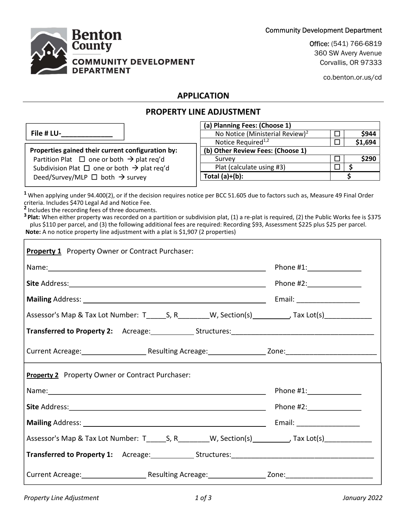Community Development Department



Office: (541) 766-6819 360 SW Avery Avenue Corvallis, OR 97333

co.benton.or.us/cd

### APPLICATION

## PROPERTY LINE ADJUSTMENT

|                                                              | (a) Planning Fees: (Choose 1)               |         |
|--------------------------------------------------------------|---------------------------------------------|---------|
| File # LU-                                                   | No Notice (Ministerial Review) <sup>2</sup> | \$944   |
|                                                              | Notice Required <sup>1,2</sup>              | \$1,694 |
| Properties gained their current configuration by:            | (b) Other Review Fees: (Choose 1)           |         |
| Partition Plat $\Box$ one or both $\rightarrow$ plat req'd   | Survey                                      | \$290   |
| Subdivision Plat $\Box$ one or both $\rightarrow$ plat req'd | Plat (calculate using #3)                   |         |
| Deed/Survey/MLP $\Box$ both $\rightarrow$ survey             | Total $(a)+(b)$ :                           |         |
|                                                              |                                             |         |

<sup>1</sup> When applying under 94.400(2), or if the decision requires notice per BCC 51.605 due to factors such as, Measure 49 Final Order criteria. Includes \$470 Legal Ad and Notice Fee.

<sup>2</sup> Includes the recording fees of three documents.

 $\mathsf{r}$ 

<sup>3</sup> Plat: When either property was recorded on a partition or subdivision plat, (1) a re-plat is required, (2) the Public Works fee is \$375 plus \$110 per parcel, and (3) the following additional fees are required: Recording \$93, Assessment \$225 plus \$25 per parcel. Note: A no notice property line adjustment with a plat is \$1,907 (2 properties)

| <b>Property 1</b> Property Owner or Contract Purchaser:                                                    |                               |
|------------------------------------------------------------------------------------------------------------|-------------------------------|
|                                                                                                            |                               |
|                                                                                                            |                               |
|                                                                                                            | Email: _____________________  |
| Assessor's Map & Tax Lot Number: T_______S, R_________W, Section(s)__________, Tax Lot(s)___________       |                               |
| Transferred to Property 2: Acreage: Structures: Change Communication Property 2: Acreage: Structures: Acre |                               |
|                                                                                                            |                               |
| <b>Property 2</b> Property Owner or Contract Purchaser:                                                    |                               |
|                                                                                                            | Phone $\#1$ : $\qquad \qquad$ |
|                                                                                                            |                               |
|                                                                                                            | Email: ____________________   |
|                                                                                                            |                               |
|                                                                                                            |                               |
|                                                                                                            |                               |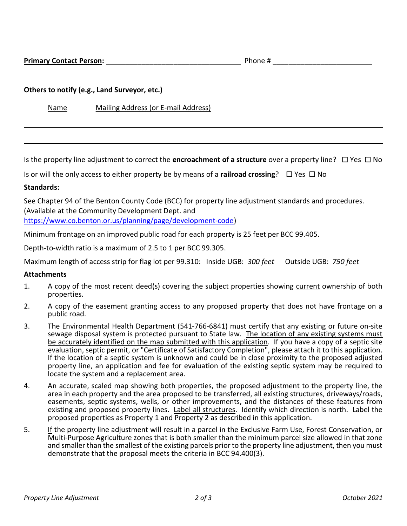#### Others to notify (e.g., Land Surveyor, etc.)

Name Mailing Address (or E-mail Address)

Is the property line adjustment to correct the **encroachment of a structure** over a property line?  $\Box$  Yes  $\Box$  No

Is or will the only access to either property be by means of a railroad crossing?  $\Box$  Yes  $\Box$  No

#### Standards:

 $\ddot{\phantom{a}}$ 

See Chapter 94 of the Benton County Code (BCC) for property line adjustment standards and procedures. (Available at the Community Development Dept. and

https://www.co.benton.or.us/planning/page/development-code)

Minimum frontage on an improved public road for each property is 25 feet per BCC 99.405.

Depth-to-width ratio is a maximum of 2.5 to 1 per BCC 99.305.

Maximum length of access strip for flag lot per 99.310: Inside UGB: 300 feet Outside UGB: 750 feet

#### Attachments

- 1. A copy of the most recent deed(s) covering the subject properties showing current ownership of both properties.
- 2. A copy of the easement granting access to any proposed property that does not have frontage on a public road.
- 3. The Environmental Health Department (541-766-6841) must certify that any existing or future on-site sewage disposal system is protected pursuant to State law. The location of any existing systems must be accurately identified on the map submitted with this application. If you have a copy of a septic site evaluation, septic permit, or "Certificate of Satisfactory Completion", please attach it to this application. If the location of a septic system is unknown and could be in close proximity to the proposed adjusted property line, an application and fee for evaluation of the existing septic system may be required to locate the system and a replacement area.
- 4. An accurate, scaled map showing both properties, the proposed adjustment to the property line, the area in each property and the area proposed to be transferred, all existing structures, driveways/roads, easements, septic systems, wells, or other improvements, and the distances of these features from existing and proposed property lines. Label all structures. Identify which direction is north. Label the proposed properties as Property 1 and Property 2 as described in this application.
- 5. If the property line adjustment will result in a parcel in the Exclusive Farm Use, Forest Conservation, or Multi-Purpose Agriculture zones that is both smaller than the minimum parcel size allowed in that zone and smaller than the smallest of the existing parcels prior to the property line adjustment, then you must demonstrate that the proposal meets the criteria in BCC 94.400(3).